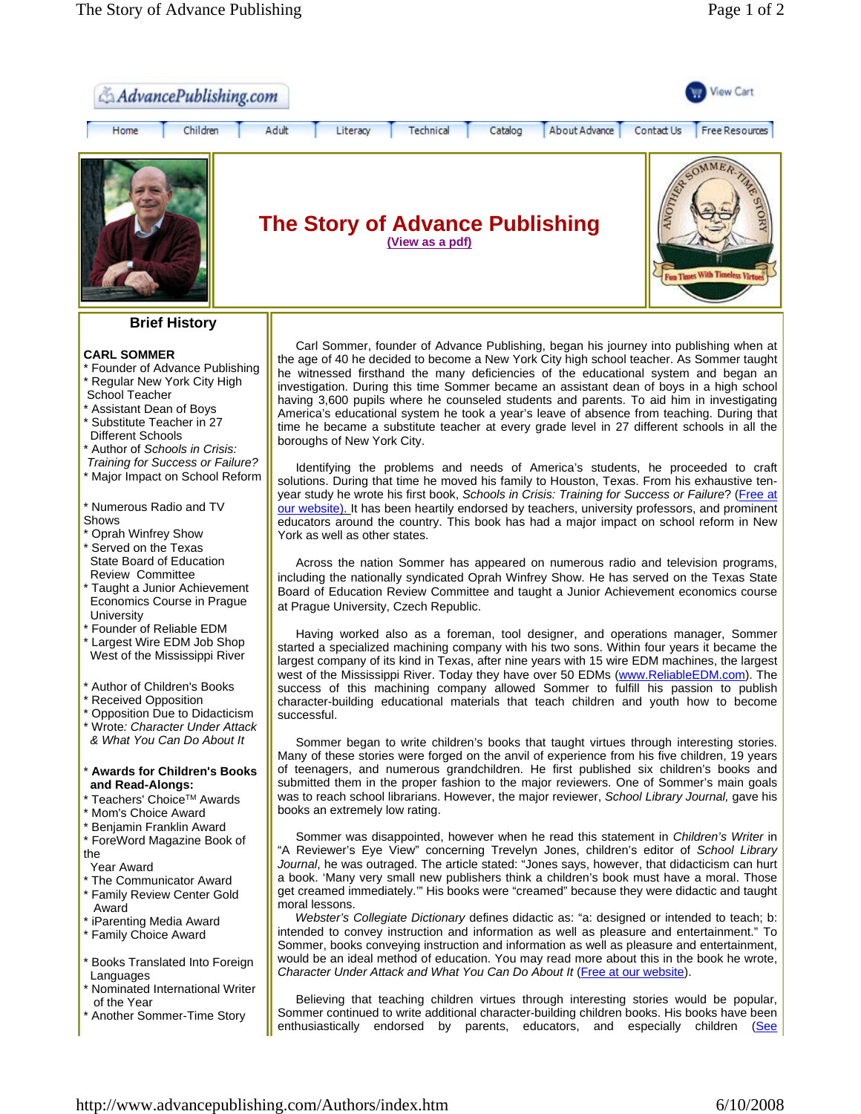

# **Brief History**

## **CARL SOMMER**

- \* Founder of Advance Publishing Regular New York City High School Teacher
- Assistant Dean of Boys
- Substitute Teacher in 27 Different Schools
- \* Author of *Schools in Crisis:*
- *Training for Success or Failure?*
- Major Impact on School Reform
- \* Numerous Radio and TV Shows
- **Oprah Winfrey Show** \* Served on the Texas State Board of Education Review Committee
- Taught a Junior Achievement Economics Course in Prague **University**
- \* Founder of Reliable EDM
- \* Largest Wire EDM Job Shop West of the Mississippi River
- \* Author of Children's Books
- \* Received Opposition
- \* Opposition Due to Didacticism
- \* Wrote*: Character Under Attack & What You Can Do About It*

## \* **Awards for Children's Books and Read-Alongs:**

- \* Teachers' Choice<sup>™</sup> Awards \* Mom's Choice Award
- 
- \* Benjamin Franklin Award
- \* ForeWord Magazine Book of the
- Year Award
- \* The Communicator Award
- \* Family Review Center Gold Award
- \* iParenting Media Award
- \* Family Choice Award
- **Books Translated Into Foreign Languages**
- **Nominated International Writer** of the Year
- Another Sommer-Time Story

Carl Sommer, founder of Advance Publishing, began his journey into publishing when at the age of 40 he decided to become a New York City high school teacher. As Sommer taught he witnessed firsthand the many deficiencies of the educational system and began an investigation. During this time Sommer became an assistant dean of boys in a high school having 3,600 pupils where he counseled students and parents. To aid him in investigating America's educational system he took a year's leave of absence from teaching. During that time he became a substitute teacher at every grade level in 27 different schools in all the boroughs of New York City.

Identifying the problems and needs of America's students, he proceeded to craft solutions. During that time he moved his family to Houston, Texas. From his exhaustive tenyear study he wrote his first book, *Schools in Crisis: Training for Success or Failure*? (Free at our website). It has been heartily endorsed by teachers, university professors, and prominent educators around the country. This book has had a major impact on school reform in New York as well as other states.

Across the nation Sommer has appeared on numerous radio and television programs, including the nationally syndicated Oprah Winfrey Show. He has served on the Texas State Board of Education Review Committee and taught a Junior Achievement economics course at Prague University, Czech Republic.

Having worked also as a foreman, tool designer, and operations manager, Sommer started a specialized machining company with his two sons. Within four years it became the largest company of its kind in Texas, after nine years with 15 wire EDM machines, the largest west of the Mississippi River. Today they have over 50 EDMs (www.ReliableEDM.com). The success of this machining company allowed Sommer to fulfill his passion to publish character-building educational materials that teach children and youth how to become successful.

Sommer began to write children's books that taught virtues through interesting stories. Many of these stories were forged on the anvil of experience from his five children, 19 years of teenagers, and numerous grandchildren. He first published six children's books and submitted them in the proper fashion to the major reviewers. One of Sommer's main goals was to reach school librarians. However, the major reviewer, *School Library Journal,* gave his books an extremely low rating.

Sommer was disappointed, however when he read this statement in *Children's Writer* in "A Reviewer's Eye View" concerning Trevelyn Jones, children's editor of *School Library Journal*, he was outraged. The article stated: "Jones says, however, that didacticism can hurt a book. 'Many very small new publishers think a children's book must have a moral. Those get creamed immediately.'" His books were "creamed" because they were didactic and taught moral lessons.

 *Webster's Collegiate Dictionary* defines didactic as: "a: designed or intended to teach; b: intended to convey instruction and information as well as pleasure and entertainment." To Sommer, books conveying instruction and information as well as pleasure and entertainment, would be an ideal method of education. You may read more about this in the book he wrote, *Character Under Attack and What You Can Do About It* (Free at our website).

Believing that teaching children virtues through interesting stories would be popular, Sommer continued to write additional character-building children books. His books have been enthusiastically endorsed by parents, educators, and especially children (See